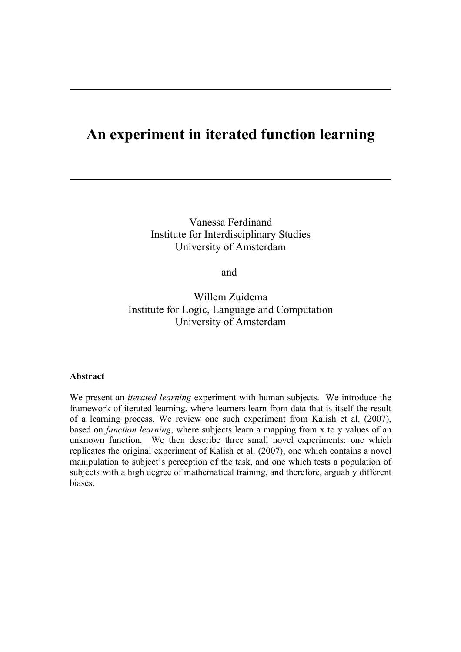# **An experiment in iterated function learning**

Vanessa Ferdinand Institute for Interdisciplinary Studies University of Amsterdam

and

Willem Zuidema Institute for Logic, Language and Computation University of Amsterdam

### **Abstract**

We present an *iterated learning* experiment with human subjects. We introduce the framework of iterated learning, where learners learn from data that is itself the result of a learning process. We review one such experiment from Kalish et al. (2007), based on *function learning*, where subjects learn a mapping from x to y values of an unknown function. We then describe three small novel experiments: one which replicates the original experiment of Kalish et al. (2007), one which contains a novel manipulation to subject's perception of the task, and one which tests a population of subjects with a high degree of mathematical training, and therefore, arguably different **biases**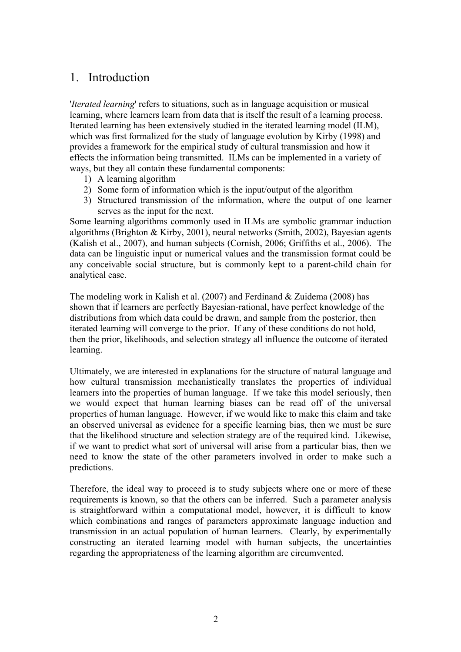# 1. Introduction

'*Iterated learning*' refers to situations, such as in language acquisition or musical learning, where learners learn from data that is itself the result of a learning process. Iterated learning has been extensively studied in the iterated learning model (ILM), which was first formalized for the study of language evolution by Kirby (1998) and provides a framework for the empirical study of cultural transmission and how it effects the information being transmitted. ILMs can be implemented in a variety of ways, but they all contain these fundamental components:

- 1) A learning algorithm
- 2) Some form of information which is the input/output of the algorithm
- 3) Structured transmission of the information, where the output of one learner serves as the input for the next.

Some learning algorithms commonly used in ILMs are symbolic grammar induction algorithms (Brighton & Kirby, 2001), neural networks (Smith, 2002), Bayesian agents (Kalish et al., 2007), and human subjects (Cornish, 2006; Griffiths et al., 2006). The data can be linguistic input or numerical values and the transmission format could be any conceivable social structure, but is commonly kept to a parent-child chain for analytical ease.

The modeling work in Kalish et al. (2007) and Ferdinand & Zuidema (2008) has shown that if learners are perfectly Bayesian-rational, have perfect knowledge of the distributions from which data could be drawn, and sample from the posterior, then iterated learning will converge to the prior. If any of these conditions do not hold, then the prior, likelihoods, and selection strategy all influence the outcome of iterated learning.

Ultimately, we are interested in explanations for the structure of natural language and how cultural transmission mechanistically translates the properties of individual learners into the properties of human language. If we take this model seriously, then we would expect that human learning biases can be read off of the universal properties of human language. However, if we would like to make this claim and take an observed universal as evidence for a specific learning bias, then we must be sure that the likelihood structure and selection strategy are of the required kind. Likewise, if we want to predict what sort of universal will arise from a particular bias, then we need to know the state of the other parameters involved in order to make such a predictions.

Therefore, the ideal way to proceed is to study subjects where one or more of these requirements is known, so that the others can be inferred. Such a parameter analysis is straightforward within a computational model, however, it is difficult to know which combinations and ranges of parameters approximate language induction and transmission in an actual population of human learners. Clearly, by experimentally constructing an iterated learning model with human subjects, the uncertainties regarding the appropriateness of the learning algorithm are circumvented.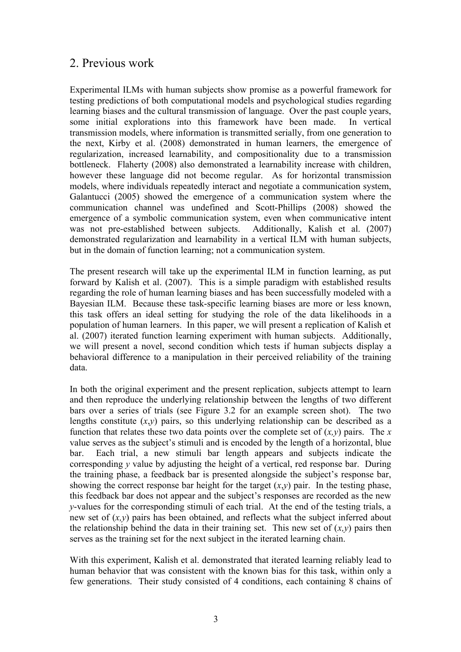# 2. Previous work

Experimental ILMs with human subjects show promise as a powerful framework for testing predictions of both computational models and psychological studies regarding learning biases and the cultural transmission of language. Over the past couple years, some initial explorations into this framework have been made. In vertical transmission models, where information is transmitted serially, from one generation to the next, Kirby et al. (2008) demonstrated in human learners, the emergence of regularization, increased learnability, and compositionality due to a transmission bottleneck. Flaherty (2008) also demonstrated a learnability increase with children, however these language did not become regular. As for horizontal transmission models, where individuals repeatedly interact and negotiate a communication system, Galantucci (2005) showed the emergence of a communication system where the communication channel was undefined and Scott-Phillips (2008) showed the emergence of a symbolic communication system, even when communicative intent was not pre-established between subjects. Additionally, Kalish et al. (2007) demonstrated regularization and learnability in a vertical ILM with human subjects, but in the domain of function learning; not a communication system.

The present research will take up the experimental ILM in function learning, as put forward by Kalish et al. (2007). This is a simple paradigm with established results regarding the role of human learning biases and has been successfully modeled with a Bayesian ILM. Because these task-specific learning biases are more or less known, this task offers an ideal setting for studying the role of the data likelihoods in a population of human learners. In this paper, we will present a replication of Kalish et al. (2007) iterated function learning experiment with human subjects. Additionally, we will present a novel, second condition which tests if human subjects display a behavioral difference to a manipulation in their perceived reliability of the training data.

In both the original experiment and the present replication, subjects attempt to learn and then reproduce the underlying relationship between the lengths of two different bars over a series of trials (see Figure 3.2 for an example screen shot). The two lengths constitute  $(x,y)$  pairs, so this underlying relationship can be described as a function that relates these two data points over the complete set of  $(x, y)$  pairs. The *x* value serves as the subject's stimuli and is encoded by the length of a horizontal, blue bar. Each trial, a new stimuli bar length appears and subjects indicate the corresponding *y* value by adjusting the height of a vertical, red response bar. During the training phase, a feedback bar is presented alongside the subject's response bar, showing the correct response bar height for the target  $(x,y)$  pair. In the testing phase, this feedback bar does not appear and the subject's responses are recorded as the new *y*-values for the corresponding stimuli of each trial. At the end of the testing trials, a new set of (*x,y*) pairs has been obtained, and reflects what the subject inferred about the relationship behind the data in their training set. This new set of  $(x, y)$  pairs then serves as the training set for the next subject in the iterated learning chain.

With this experiment, Kalish et al. demonstrated that iterated learning reliably lead to human behavior that was consistent with the known bias for this task, within only a few generations. Their study consisted of 4 conditions, each containing 8 chains of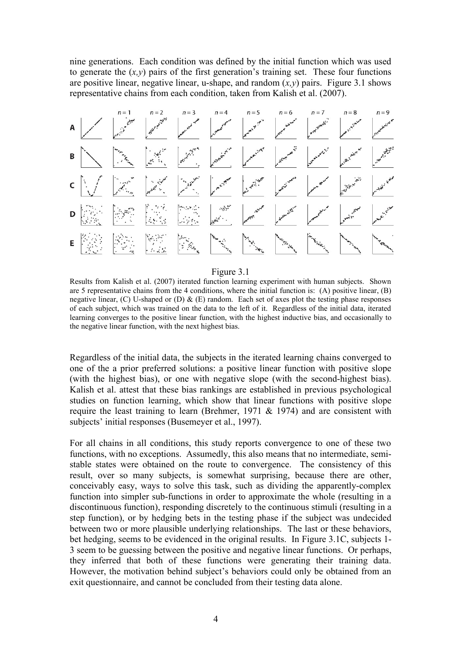nine generations. Each condition was defined by the initial function which was used to generate the  $(x, y)$  pairs of the first generation's training set. These four functions are positive linear, negative linear, u-shape, and random  $(x, y)$  pairs. Figure 3.1 shows representative chains from each condition, taken from Kalish et al. (2007).



#### Figure 3.1

Results from Kalish et al. (2007) iterated function learning experiment with human subjects. Shown are 5 representative chains from the 4 conditions, where the initial function is: (A) positive linear, (B) negative linear,  $(C)$  U-shaped or  $(D)$  &  $(E)$  random. Each set of axes plot the testing phase responses of each subject, which was trained on the data to the left of it. Regardless of the initial data, iterated learning converges to the positive linear function, with the highest inductive bias, and occasionally to the negative linear function, with the next highest bias.

Regardless of the initial data, the subjects in the iterated learning chains converged to one of the a prior preferred solutions: a positive linear function with positive slope (with the highest bias), or one with negative slope (with the second-highest bias). Kalish et al. attest that these bias rankings are established in previous psychological studies on function learning, which show that linear functions with positive slope require the least training to learn (Brehmer, 1971  $&$  1974) and are consistent with subjects' initial responses (Busemeyer et al., 1997).

For all chains in all conditions, this study reports convergence to one of these two functions, with no exceptions. Assumedly, this also means that no intermediate, semistable states were obtained on the route to convergence. The consistency of this result, over so many subjects, is somewhat surprising, because there are other, conceivably easy, ways to solve this task, such as dividing the apparently-complex function into simpler sub-functions in order to approximate the whole (resulting in a discontinuous function), responding discretely to the continuous stimuli (resulting in a step function), or by hedging bets in the testing phase if the subject was undecided between two or more plausible underlying relationships. The last or these behaviors, bet hedging, seems to be evidenced in the original results. In Figure 3.1C, subjects 1- 3 seem to be guessing between the positive and negative linear functions. Or perhaps, they inferred that both of these functions were generating their training data. However, the motivation behind subject's behaviors could only be obtained from an exit questionnaire, and cannot be concluded from their testing data alone.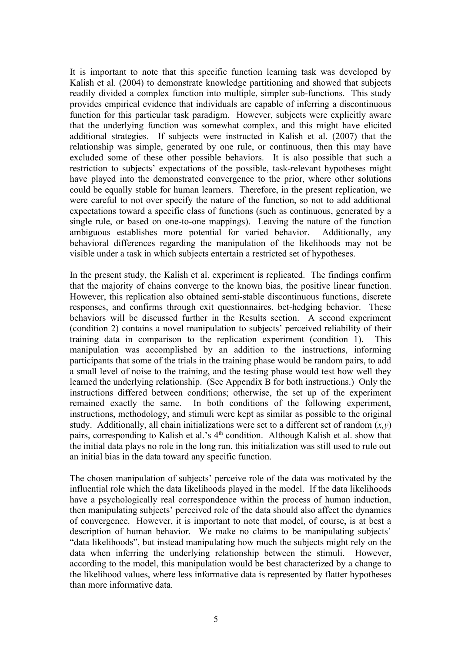It is important to note that this specific function learning task was developed by Kalish et al. (2004) to demonstrate knowledge partitioning and showed that subjects readily divided a complex function into multiple, simpler sub-functions. This study provides empirical evidence that individuals are capable of inferring a discontinuous function for this particular task paradigm. However, subjects were explicitly aware that the underlying function was somewhat complex, and this might have elicited additional strategies. If subjects were instructed in Kalish et al. (2007) that the relationship was simple, generated by one rule, or continuous, then this may have excluded some of these other possible behaviors. It is also possible that such a restriction to subjects' expectations of the possible, task-relevant hypotheses might have played into the demonstrated convergence to the prior, where other solutions could be equally stable for human learners. Therefore, in the present replication, we were careful to not over specify the nature of the function, so not to add additional expectations toward a specific class of functions (such as continuous, generated by a single rule, or based on one-to-one mappings). Leaving the nature of the function ambiguous establishes more potential for varied behavior. Additionally, any behavioral differences regarding the manipulation of the likelihoods may not be visible under a task in which subjects entertain a restricted set of hypotheses.

In the present study, the Kalish et al. experiment is replicated. The findings confirm that the majority of chains converge to the known bias, the positive linear function. However, this replication also obtained semi-stable discontinuous functions, discrete responses, and confirms through exit questionnaires, bet-hedging behavior. These behaviors will be discussed further in the Results section. A second experiment (condition 2) contains a novel manipulation to subjects' perceived reliability of their training data in comparison to the replication experiment (condition 1). This manipulation was accomplished by an addition to the instructions, informing participants that some of the trials in the training phase would be random pairs, to add a small level of noise to the training, and the testing phase would test how well they learned the underlying relationship. (See Appendix B for both instructions.) Only the instructions differed between conditions; otherwise, the set up of the experiment remained exactly the same. In both conditions of the following experiment, instructions, methodology, and stimuli were kept as similar as possible to the original study. Additionally, all chain initializations were set to a different set of random (*x,y*) pairs, corresponding to Kalish et al.'s 4<sup>th</sup> condition. Although Kalish et al. show that the initial data plays no role in the long run, this initialization was still used to rule out an initial bias in the data toward any specific function.

The chosen manipulation of subjects' perceive role of the data was motivated by the influential role which the data likelihoods played in the model. If the data likelihoods have a psychologically real correspondence within the process of human induction, then manipulating subjects' perceived role of the data should also affect the dynamics of convergence. However, it is important to note that model, of course, is at best a description of human behavior. We make no claims to be manipulating subjects' "data likelihoods", but instead manipulating how much the subjects might rely on the data when inferring the underlying relationship between the stimuli. However, according to the model, this manipulation would be best characterized by a change to the likelihood values, where less informative data is represented by flatter hypotheses than more informative data.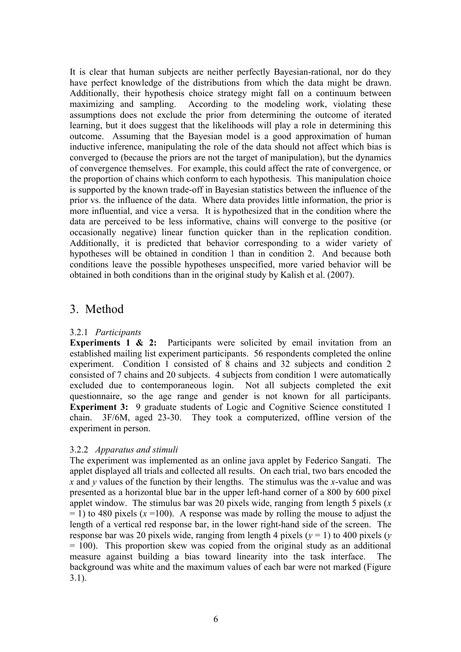It is clear that human subjects are neither perfectly Bayesian-rational, nor do they have perfect knowledge of the distributions from which the data might be drawn. Additionally, their hypothesis choice strategy might fall on a continuum between maximizing and sampling. According to the modeling work, violating these assumptions does not exclude the prior from determining the outcome of iterated learning, but it does suggest that the likelihoods will play a role in determining this outcome. Assuming that the Bayesian model is a good approximation of human inductive inference, manipulating the role of the data should not affect which bias is converged to (because the priors are not the target of manipulation), but the dynamics of convergence themselves. For example, this could affect the rate of convergence, or the proportion of chains which conform to each hypothesis. This manipulation choice is supported by the known trade-off in Bayesian statistics between the influence of the prior vs. the influence of the data. Where data provides little information, the prior is more influential, and vice a versa. It is hypothesized that in the condition where the data are perceived to be less informative, chains will converge to the positive (or occasionally negative) linear function quicker than in the replication condition. Additionally, it is predicted that behavior corresponding to a wider variety of hypotheses will be obtained in condition 1 than in condition 2. And because both conditions leave the possible hypotheses unspecified, more varied behavior will be obtained in both conditions than in the original study by Kalish et al. (2007).

# 3. Method

# 3.2.1 *Participants*

**Experiments 1 & 2:** Participants were solicited by email invitation from an established mailing list experiment participants. 56 respondents completed the online experiment. Condition 1 consisted of 8 chains and 32 subjects and condition 2 consisted of 7 chains and 20 subjects. 4 subjects from condition 1 were automatically excluded due to contemporaneous login. Not all subjects completed the exit questionnaire, so the age range and gender is not known for all participants. **Experiment 3:** 9 graduate students of Logic and Cognitive Science constituted 1 chain. 3F/6M, aged 23-30. They took a computerized, offline version of the experiment in person.

# 3.2.2 *Apparatus and stimuli*

The experiment was implemented as an online java applet by Federico Sangati. The applet displayed all trials and collected all results. On each trial, two bars encoded the *x* and *y* values of the function by their lengths. The stimulus was the *x*-value and was presented as a horizontal blue bar in the upper left-hand corner of a 800 by 600 pixel applet window. The stimulus bar was 20 pixels wide, ranging from length 5 pixels (*x*  $= 1$ ) to 480 pixels ( $x = 100$ ). A response was made by rolling the mouse to adjust the length of a vertical red response bar, in the lower right-hand side of the screen. The response bar was 20 pixels wide, ranging from length 4 pixels ( $y = 1$ ) to 400 pixels ( $y = 1$ )  $= 100$ ). This proportion skew was copied from the original study as an additional measure against building a bias toward linearity into the task interface. The background was white and the maximum values of each bar were not marked (Figure 3.1).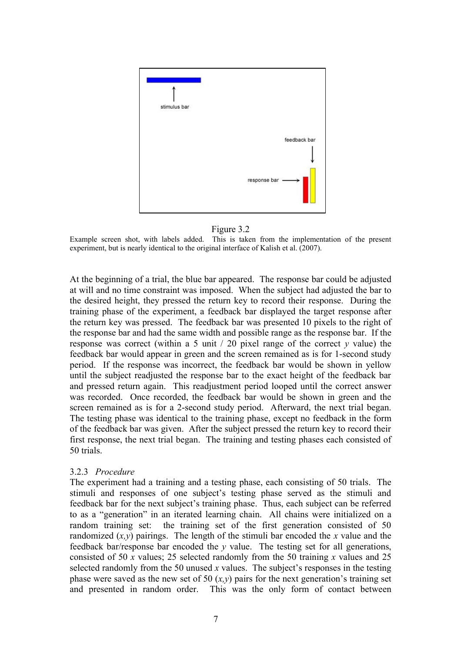

### Figure 3.2

Example screen shot, with labels added. This is taken from the implementation of the present experiment, but is nearly identical to the original interface of Kalish et al. (2007).

At the beginning of a trial, the blue bar appeared. The response bar could be adjusted at will and no time constraint was imposed. When the subject had adjusted the bar to the desired height, they pressed the return key to record their response. During the training phase of the experiment, a feedback bar displayed the target response after the return key was pressed. The feedback bar was presented 10 pixels to the right of the response bar and had the same width and possible range as the response bar. If the response was correct (within a 5 unit  $/$  20 pixel range of the correct  $\nu$  value) the feedback bar would appear in green and the screen remained as is for 1-second study period. If the response was incorrect, the feedback bar would be shown in yellow until the subject readjusted the response bar to the exact height of the feedback bar and pressed return again. This readjustment period looped until the correct answer was recorded. Once recorded, the feedback bar would be shown in green and the screen remained as is for a 2-second study period. Afterward, the next trial began. The testing phase was identical to the training phase, except no feedback in the form of the feedback bar was given. After the subject pressed the return key to record their first response, the next trial began. The training and testing phases each consisted of 50 trials.

### 3.2.3 *Procedure*

The experiment had a training and a testing phase, each consisting of 50 trials. The stimuli and responses of one subject's testing phase served as the stimuli and feedback bar for the next subject's training phase. Thus, each subject can be referred to as a "generation" in an iterated learning chain. All chains were initialized on a random training set: the training set of the first generation consisted of 50 randomized  $(x, y)$  pairings. The length of the stimuli bar encoded the *x* value and the feedback bar/response bar encoded the *y* value. The testing set for all generations, consisted of 50 *x* values; 25 selected randomly from the 50 training *x* values and 25 selected randomly from the 50 unused *x* values. The subject's responses in the testing phase were saved as the new set of 50  $(x, y)$  pairs for the next generation's training set and presented in random order. This was the only form of contact between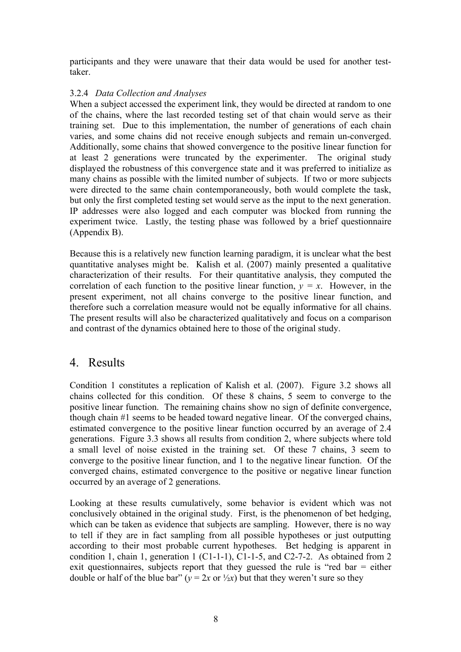participants and they were unaware that their data would be used for another testtaker.

# 3.2.4 *Data Collection and Analyses*

When a subject accessed the experiment link, they would be directed at random to one of the chains, where the last recorded testing set of that chain would serve as their training set. Due to this implementation, the number of generations of each chain varies, and some chains did not receive enough subjects and remain un-converged. Additionally, some chains that showed convergence to the positive linear function for at least 2 generations were truncated by the experimenter. The original study displayed the robustness of this convergence state and it was preferred to initialize as many chains as possible with the limited number of subjects. If two or more subjects were directed to the same chain contemporaneously, both would complete the task, but only the first completed testing set would serve as the input to the next generation. IP addresses were also logged and each computer was blocked from running the experiment twice. Lastly, the testing phase was followed by a brief questionnaire (Appendix B).

Because this is a relatively new function learning paradigm, it is unclear what the best quantitative analyses might be. Kalish et al. (2007) mainly presented a qualitative characterization of their results. For their quantitative analysis, they computed the correlation of each function to the positive linear function,  $y = x$ . However, in the present experiment, not all chains converge to the positive linear function, and therefore such a correlation measure would not be equally informative for all chains. The present results will also be characterized qualitatively and focus on a comparison and contrast of the dynamics obtained here to those of the original study.

# 4. Results

Condition 1 constitutes a replication of Kalish et al. (2007). Figure 3.2 shows all chains collected for this condition. Of these 8 chains, 5 seem to converge to the positive linear function. The remaining chains show no sign of definite convergence, though chain #1 seems to be headed toward negative linear. Of the converged chains, estimated convergence to the positive linear function occurred by an average of 2.4 generations. Figure 3.3 shows all results from condition 2, where subjects where told a small level of noise existed in the training set. Of these 7 chains, 3 seem to converge to the positive linear function, and 1 to the negative linear function. Of the converged chains, estimated convergence to the positive or negative linear function occurred by an average of 2 generations.

Looking at these results cumulatively, some behavior is evident which was not conclusively obtained in the original study. First, is the phenomenon of bet hedging, which can be taken as evidence that subjects are sampling. However, there is no way to tell if they are in fact sampling from all possible hypotheses or just outputting according to their most probable current hypotheses. Bet hedging is apparent in condition 1, chain 1, generation 1 (C1-1-1), C1-1-5, and C2-7-2. As obtained from 2 exit questionnaires, subjects report that they guessed the rule is "red bar = either double or half of the blue bar" ( $y = 2x$  or  $\frac{1}{2}x$ ) but that they weren't sure so they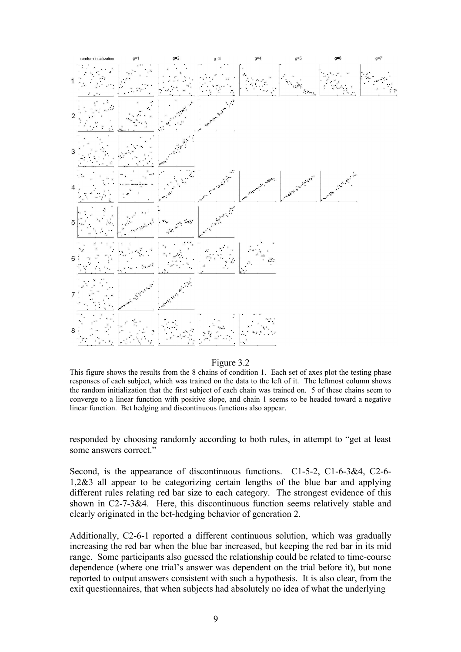

#### Figure 3.2

This figure shows the results from the 8 chains of condition 1. Each set of axes plot the testing phase responses of each subject, which was trained on the data to the left of it. The leftmost column shows the random initialization that the first subject of each chain was trained on. 5 of these chains seem to converge to a linear function with positive slope, and chain 1 seems to be headed toward a negative linear function. Bet hedging and discontinuous functions also appear.

responded by choosing randomly according to both rules, in attempt to "get at least some answers correct."

Second, is the appearance of discontinuous functions. C1-5-2, C1-6-3&4, C2-6- 1,2&3 all appear to be categorizing certain lengths of the blue bar and applying different rules relating red bar size to each category. The strongest evidence of this shown in C2-7-3&4. Here, this discontinuous function seems relatively stable and clearly originated in the bet-hedging behavior of generation 2.

Additionally, C2-6-1 reported a different continuous solution, which was gradually increasing the red bar when the blue bar increased, but keeping the red bar in its mid range. Some participants also guessed the relationship could be related to time-course dependence (where one trial's answer was dependent on the trial before it), but none reported to output answers consistent with such a hypothesis. It is also clear, from the exit questionnaires, that when subjects had absolutely no idea of what the underlying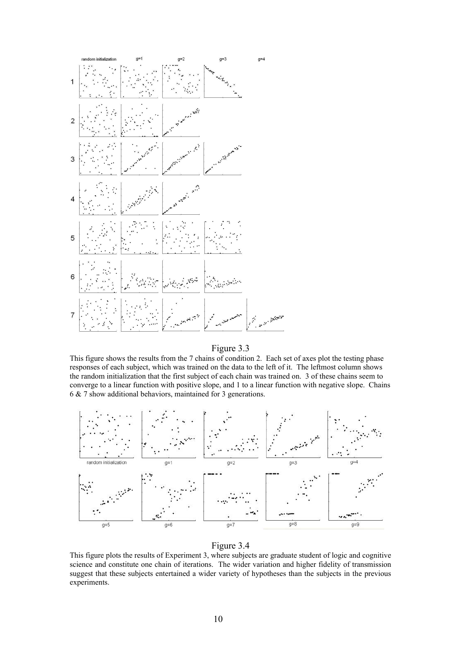

#### Figure 3.3

This figure shows the results from the 7 chains of condition 2. Each set of axes plot the testing phase responses of each subject, which was trained on the data to the left of it. The leftmost column shows the random initialization that the first subject of each chain was trained on. 3 of these chains seem to converge to a linear function with positive slope, and 1 to a linear function with negative slope. Chains 6 & 7 show additional behaviors, maintained for 3 generations.



#### Figure 3.4

This figure plots the results of Experiment 3, where subjects are graduate student of logic and cognitive science and constitute one chain of iterations. The wider variation and higher fidelity of transmission suggest that these subjects entertained a wider variety of hypotheses than the subjects in the previous experiments.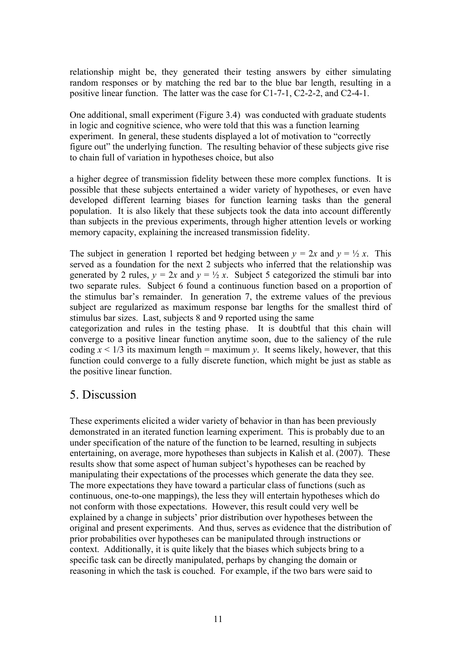relationship might be, they generated their testing answers by either simulating random responses or by matching the red bar to the blue bar length, resulting in a positive linear function. The latter was the case for C1-7-1, C2-2-2, and C2-4-1.

One additional, small experiment (Figure 3.4) was conducted with graduate students in logic and cognitive science, who were told that this was a function learning experiment. In general, these students displayed a lot of motivation to "correctly figure out" the underlying function. The resulting behavior of these subjects give rise to chain full of variation in hypotheses choice, but also

a higher degree of transmission fidelity between these more complex functions. It is possible that these subjects entertained a wider variety of hypotheses, or even have developed different learning biases for function learning tasks than the general population. It is also likely that these subjects took the data into account differently than subjects in the previous experiments, through higher attention levels or working memory capacity, explaining the increased transmission fidelity.

The subject in generation 1 reported bet hedging between  $y = 2x$  and  $y = \frac{1}{2}x$ . This served as a foundation for the next 2 subjects who inferred that the relationship was generated by 2 rules,  $y = 2x$  and  $y = \frac{1}{2}x$ . Subject 5 categorized the stimuli bar into two separate rules. Subject 6 found a continuous function based on a proportion of the stimulus bar's remainder. In generation 7, the extreme values of the previous subject are regularized as maximum response bar lengths for the smallest third of stimulus bar sizes. Last, subjects 8 and 9 reported using the same

categorization and rules in the testing phase. It is doubtful that this chain will converge to a positive linear function anytime soon, due to the saliency of the rule coding  $x < 1/3$  its maximum length = maximum *y*. It seems likely, however, that this function could converge to a fully discrete function, which might be just as stable as the positive linear function.

# 5. Discussion

These experiments elicited a wider variety of behavior in than has been previously demonstrated in an iterated function learning experiment. This is probably due to an under specification of the nature of the function to be learned, resulting in subjects entertaining, on average, more hypotheses than subjects in Kalish et al. (2007). These results show that some aspect of human subject's hypotheses can be reached by manipulating their expectations of the processes which generate the data they see. The more expectations they have toward a particular class of functions (such as continuous, one-to-one mappings), the less they will entertain hypotheses which do not conform with those expectations. However, this result could very well be explained by a change in subjects' prior distribution over hypotheses between the original and present experiments. And thus, serves as evidence that the distribution of prior probabilities over hypotheses can be manipulated through instructions or context. Additionally, it is quite likely that the biases which subjects bring to a specific task can be directly manipulated, perhaps by changing the domain or reasoning in which the task is couched. For example, if the two bars were said to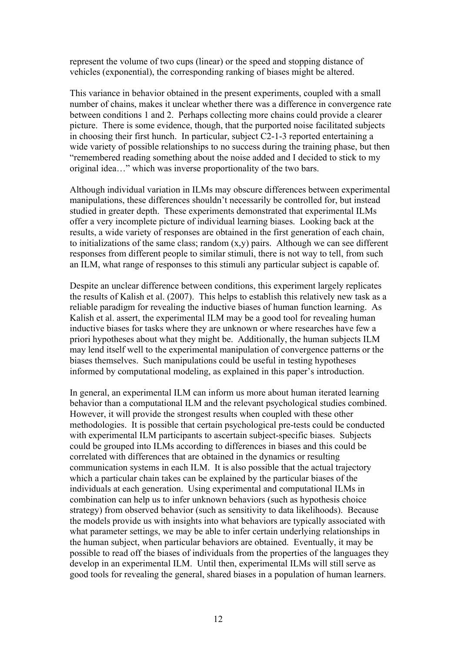represent the volume of two cups (linear) or the speed and stopping distance of vehicles (exponential), the corresponding ranking of biases might be altered.

This variance in behavior obtained in the present experiments, coupled with a small number of chains, makes it unclear whether there was a difference in convergence rate between conditions 1 and 2. Perhaps collecting more chains could provide a clearer picture. There is some evidence, though, that the purported noise facilitated subjects in choosing their first hunch. In particular, subject C2-1-3 reported entertaining a wide variety of possible relationships to no success during the training phase, but then "remembered reading something about the noise added and I decided to stick to my original idea…" which was inverse proportionality of the two bars.

Although individual variation in ILMs may obscure differences between experimental manipulations, these differences shouldn't necessarily be controlled for, but instead studied in greater depth. These experiments demonstrated that experimental ILMs offer a very incomplete picture of individual learning biases. Looking back at the results, a wide variety of responses are obtained in the first generation of each chain, to initializations of the same class: random  $(x, y)$  pairs. Although we can see different responses from different people to similar stimuli, there is not way to tell, from such an ILM, what range of responses to this stimuli any particular subject is capable of.

Despite an unclear difference between conditions, this experiment largely replicates the results of Kalish et al. (2007). This helps to establish this relatively new task as a reliable paradigm for revealing the inductive biases of human function learning. As Kalish et al. assert, the experimental ILM may be a good tool for revealing human inductive biases for tasks where they are unknown or where researches have few a priori hypotheses about what they might be. Additionally, the human subjects ILM may lend itself well to the experimental manipulation of convergence patterns or the biases themselves. Such manipulations could be useful in testing hypotheses informed by computational modeling, as explained in this paper's introduction.

In general, an experimental ILM can inform us more about human iterated learning behavior than a computational ILM and the relevant psychological studies combined. However, it will provide the strongest results when coupled with these other methodologies. It is possible that certain psychological pre-tests could be conducted with experimental ILM participants to ascertain subject-specific biases. Subjects could be grouped into ILMs according to differences in biases and this could be correlated with differences that are obtained in the dynamics or resulting communication systems in each ILM. It is also possible that the actual trajectory which a particular chain takes can be explained by the particular biases of the individuals at each generation. Using experimental and computational ILMs in combination can help us to infer unknown behaviors (such as hypothesis choice strategy) from observed behavior (such as sensitivity to data likelihoods). Because the models provide us with insights into what behaviors are typically associated with what parameter settings, we may be able to infer certain underlying relationships in the human subject, when particular behaviors are obtained. Eventually, it may be possible to read off the biases of individuals from the properties of the languages they develop in an experimental ILM. Until then, experimental ILMs will still serve as good tools for revealing the general, shared biases in a population of human learners.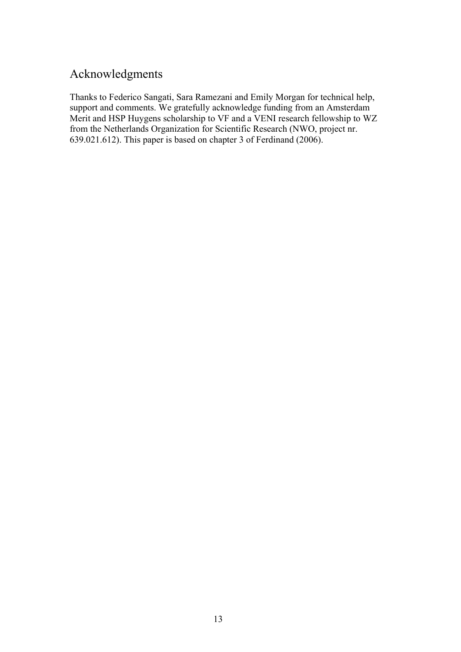# Acknowledgments

Thanks to Federico Sangati, Sara Ramezani and Emily Morgan for technical help, support and comments. We gratefully acknowledge funding from an Amsterdam Merit and HSP Huygens scholarship to VF and a VENI research fellowship to WZ from the Netherlands Organization for Scientific Research (NWO, project nr. 639.021.612). This paper is based on chapter 3 of Ferdinand (2006).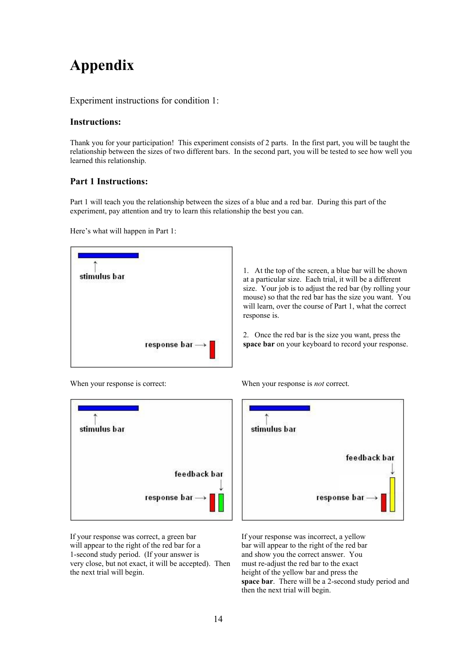# **Appendix**

Experiment instructions for condition 1:

## **Instructions:**

Thank you for your participation! This experiment consists of 2 parts. In the first part, you will be taught the relationship between the sizes of two different bars. In the second part, you will be tested to see how well you learned this relationship.

## **Part 1 Instructions:**

Part 1 will teach you the relationship between the sizes of a blue and a red bar. During this part of the experiment, pay attention and try to learn this relationship the best you can.

Here's what will happen in Part 1:

| stimulus bar |                                             |
|--------------|---------------------------------------------|
|              |                                             |
|              |                                             |
|              | response bar $\longrightarrow \blacksquare$ |

1. At the top of the screen, a blue bar will be shown at a particular size. Each trial, it will be a different size. Your job is to adjust the red bar (by rolling your mouse) so that the red bar has the size you want. You will learn, over the course of Part 1, what the correct response is.

2. Once the red bar is the size you want, press the **space bar** on your keyboard to record your response.



If your response was correct, a green bar will appear to the right of the red bar for a 1-second study period. (If your answer is very close, but not exact, it will be accepted). Then the next trial will begin.

When your response is correct: When your response is *not* correct.



If your response was incorrect, a yellow bar will appear to the right of the red bar and show you the correct answer. You must re-adjust the red bar to the exact height of the yellow bar and press the **space bar**. There will be a 2-second study period and then the next trial will begin.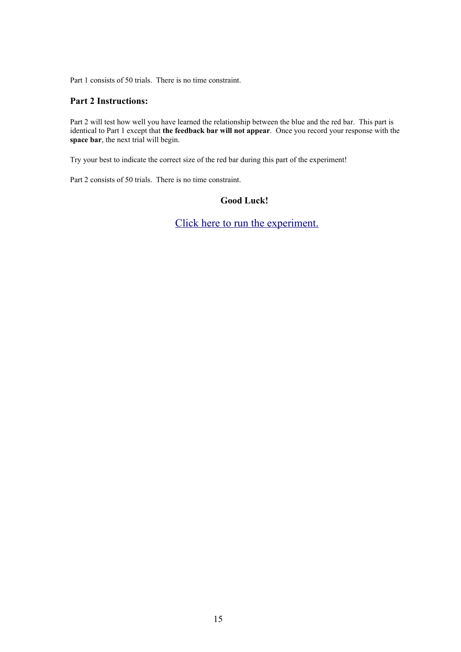Part 1 consists of 50 trials. There is no time constraint.

## **Part 2 Instructions:**

Part 2 will test how well you have learned the relationship between the blue and the red bar. This part is identical to Part 1 except that **the feedback bar will not appear**. Once you record your response with the **space bar**, the next trial will begin.

Try your best to indicate the correct size of the red bar during this part of the experiment!

Part 2 consists of 50 trials. There is no time constraint.

# **Good Luck!**

[Click here to run the experiment.](http://staff.science.uva.nl/~vferdina/IL/experiment.php?PHPSESSID=ec298662eefa91e9d1c8fdcfcf6dfa6d)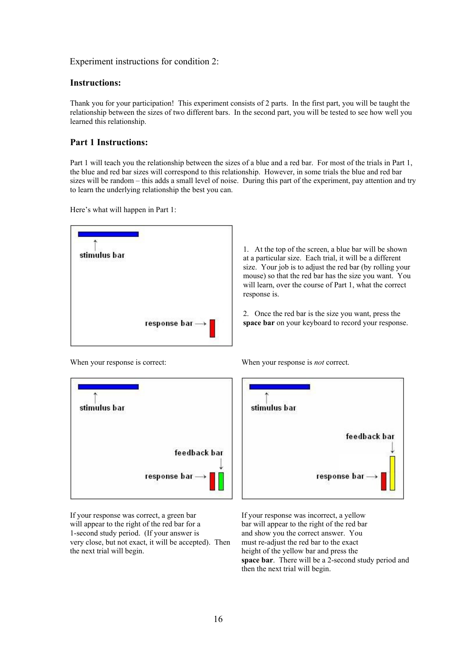Experiment instructions for condition 2:

#### **Instructions:**

Thank you for your participation! This experiment consists of 2 parts. In the first part, you will be taught the relationship between the sizes of two different bars. In the second part, you will be tested to see how well you learned this relationship.

## **Part 1 Instructions:**

Part 1 will teach you the relationship between the sizes of a blue and a red bar. For most of the trials in Part 1, the blue and red bar sizes will correspond to this relationship. However, in some trials the blue and red bar sizes will be random – this adds a small level of noise. During this part of the experiment, pay attention and try to learn the underlying relationship the best you can.

Here's what will happen in Part 1:



1. At the top of the screen, a blue bar will be shown at a particular size. Each trial, it will be a different size. Your job is to adjust the red bar (by rolling your mouse) so that the red bar has the size you want. You will learn, over the course of Part 1, what the correct response is.

2. Once the red bar is the size you want, press the **space bar** on your keyboard to record your response.



When your response is correct: When your response is *not* correct.



If your response was correct, a green bar will appear to the right of the red bar for a 1-second study period. (If your answer is very close, but not exact, it will be accepted). Then the next trial will begin.

If your response was incorrect, a yellow bar will appear to the right of the red bar and show you the correct answer. You must re-adjust the red bar to the exact height of the yellow bar and press the **space bar**. There will be a 2-second study period and then the next trial will begin.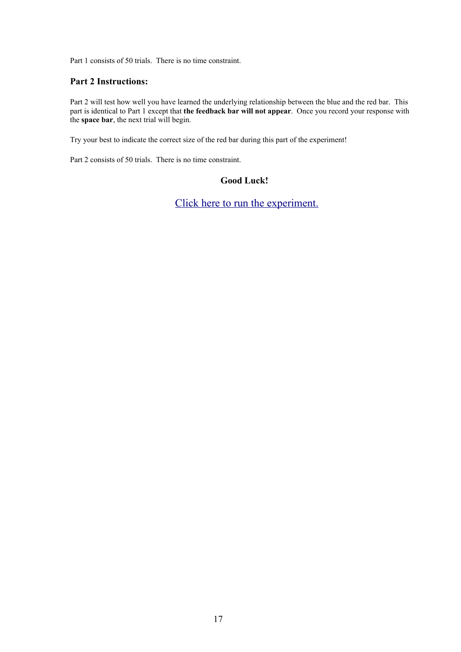Part 1 consists of 50 trials. There is no time constraint.

## **Part 2 Instructions:**

Part 2 will test how well you have learned the underlying relationship between the blue and the red bar. This part is identical to Part 1 except that **the feedback bar will not appear**. Once you record your response with the **space bar**, the next trial will begin.

Try your best to indicate the correct size of the red bar during this part of the experiment!

Part 2 consists of 50 trials. There is no time constraint.

## **Good Luck!**

[Click here to run the experiment.](http://staff.science.uva.nl/~vferdina/NR/experiment.php)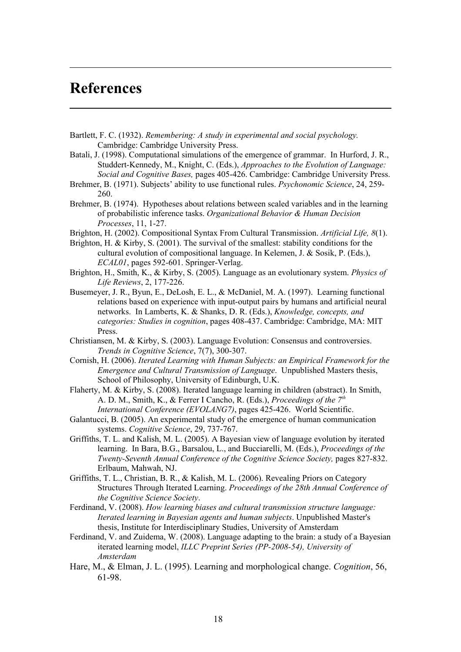# **References**

- Bartlett, F. C. (1932). *Remembering: A study in experimental and social psychology.* Cambridge: Cambridge University Press.
- Batali, J. (1998). Computational simulations of the emergence of grammar. In Hurford, J. R., Studdert-Kennedy, M., Knight, C. (Eds.), *Approaches to the Evolution of Language: Social and Cognitive Bases,* pages 405-426. Cambridge: Cambridge University Press.
- Brehmer, B. (1971). Subjects' ability to use functional rules. *Psychonomic Science*, 24, 259- 260.
- Brehmer, B. (1974). Hypotheses about relations between scaled variables and in the learning of probabilistic inference tasks. *Organizational Behavior & Human Decision Processes*, 11, 1-27.
- Brighton, H. (2002). Compositional Syntax From Cultural Transmission. *Artificial Life, 8*(1).
- Brighton, H. & Kirby, S. (2001). The survival of the smallest: stability conditions for the cultural evolution of compositional language. In Kelemen, J. & Sosik, P. (Eds.), *ECAL01*, pages 592-601. Springer-Verlag.
- Brighton, H., Smith, K., & Kirby, S. (2005). Language as an evolutionary system. *Physics of Life Reviews*, 2, 177-226.
- Busemeyer, J. R., Byun, E., DeLosh, E. L., & McDaniel, M. A. (1997). Learning functional relations based on experience with input-output pairs by humans and artificial neural networks. In Lamberts, K. & Shanks, D. R. (Eds.), *Knowledge, concepts, and categories: Studies in cognition*, pages 408-437. Cambridge: Cambridge, MA: MIT Press.
- Christiansen, M. & Kirby, S. (2003). Language Evolution: Consensus and controversies. *Trends in Cognitive Science*, 7(7), 300-307.
- Cornish, H. (2006). *Iterated Learning with Human Subjects: an Empirical Framework for the Emergence and Cultural Transmission of Language*. Unpublished Masters thesis, School of Philosophy, University of Edinburgh, U.K.
- Flaherty, M. & Kirby, S. (2008). Iterated language learning in children (abstract). In Smith, A. D. M., Smith, K., & Ferrer I Cancho, R. (Eds.), *Proceedings of the 7th International Conference (EVOLANG7)*, pages 425-426. World Scientific.
- Galantucci, B. (2005). An experimental study of the emergence of human communication systems. *Cognitive Science*, 29, 737-767.
- Griffiths, T. L. and Kalish, M. L. (2005). A Bayesian view of language evolution by iterated learning. In Bara, B.G., Barsalou, L., and Bucciarelli, M. (Eds.), *Proceedings of the Twenty-Seventh Annual Conference of the Cognitive Science Society,* pages 827-832. Erlbaum, Mahwah, NJ.
- Griffiths, T. L., Christian, B. R., & Kalish, M. L. (2006). Revealing Priors on Category Structures Through Iterated Learning. *Proceedings of the 28th Annual Conference of the Cognitive Science Society*.
- Ferdinand, V. (2008). *How learning biases and cultural transmission structure language: Iterated learning in Bayesian agents and human subjects*. Unpublished Master's thesis, Institute for Interdisciplinary Studies, University of Amsterdam
- Ferdinand, V. and Zuidema, W. (2008). Language adapting to the brain: a study of a Bayesian iterated learning model, *ILLC Preprint Series (PP-2008-54), University of Amsterdam*
- Hare, M., & Elman, J. L. (1995). Learning and morphological change. *Cognition*, 56, 61-98.